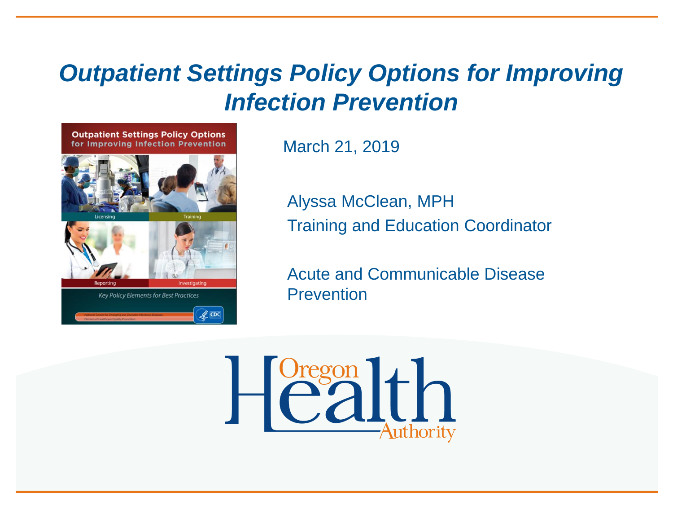### *Outpatient Settings Policy Options for Improving Infection Prevention*



March 21, 2019

Alyssa McClean, MPH Training and Education Coordinator

Acute and Communicable Disease **Prevention** 

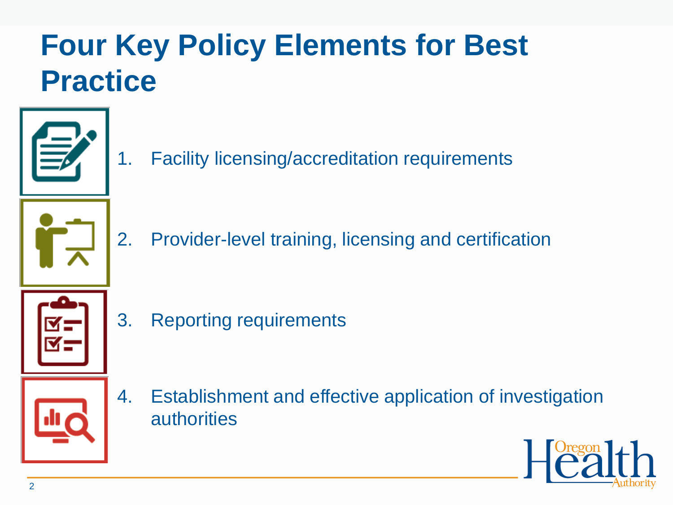## **Four Key Policy Elements for Best Practice**



1. Facility licensing/accreditation requirements



2. Provider-level training, licensing and certification



3. Reporting requirements



4. Establishment and effective application of investigation authorities

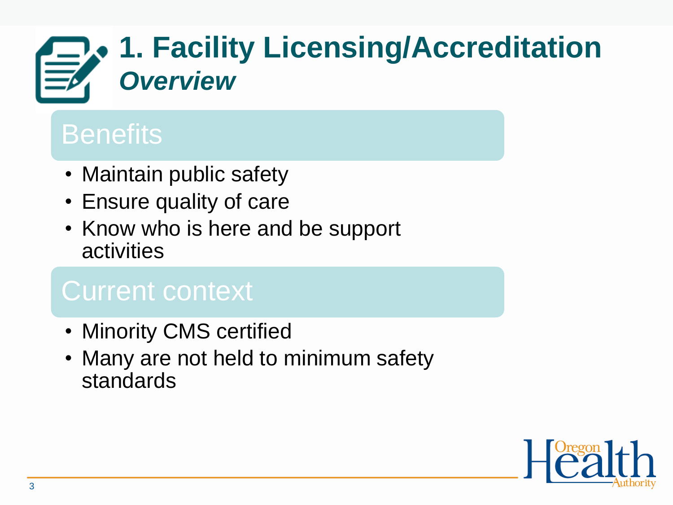## **1. Facility Licensing/Accreditation** *Overview*

## **Benefits**

- Maintain public safety
- Ensure quality of care
- Know who is here and be support activities

## Current context

- Minority CMS certified
- Many are not held to minimum safety standards

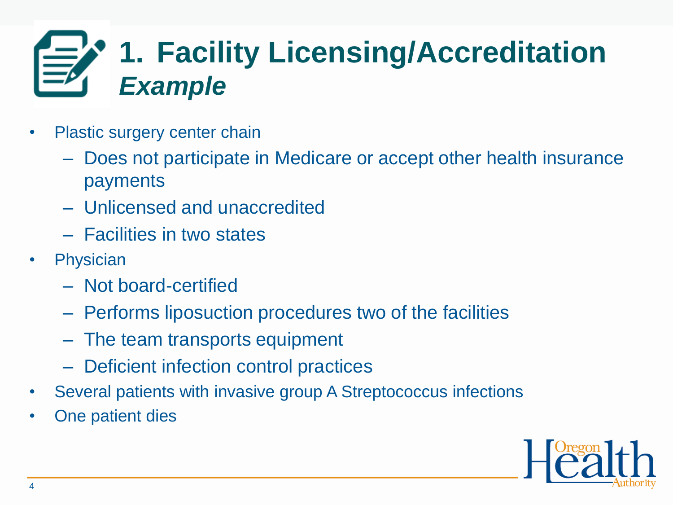## **1. Facility Licensing/Accreditation** *Example*

- Plastic surgery center chain
	- Does not participate in Medicare or accept other health insurance payments
	- Unlicensed and unaccredited
	- Facilities in two states
- Physician
	- Not board-certified
	- Performs liposuction procedures two of the facilities
	- The team transports equipment
	- Deficient infection control practices
- Several patients with invasive group A Streptococcus infections
- One patient dies

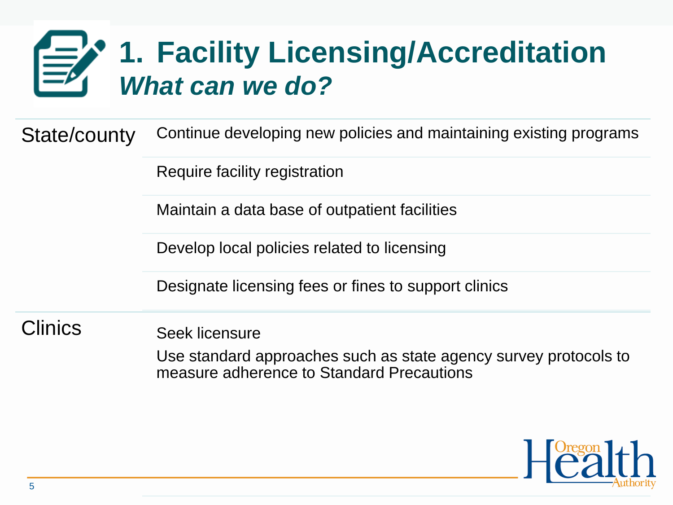## **1. Facility Licensing/Accreditation** *What can we do?*

State/county Continue developing new policies and maintaining existing programs

Require facility registration

Maintain a data base of outpatient facilities

Develop local policies related to licensing

Designate licensing fees or fines to support clinics

Clinics Seek licensure

Use standard approaches such as state agency survey protocols to measure adherence to Standard Precautions

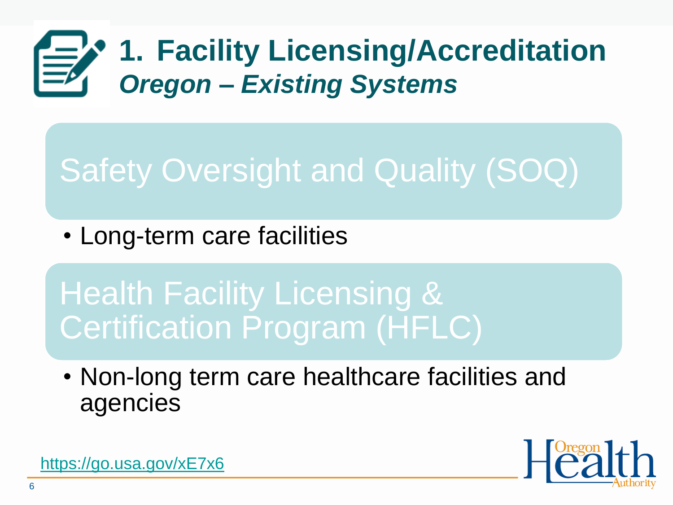## **1. Facility Licensing/Accreditation** *Oregon – Existing Systems*

## Safety Oversight and Quality (SOQ)

• Long-term care facilities

Health Facility Licensing & Certification Program (HFLC)

• Non-long term care healthcare facilities and agencies



<https://go.usa.gov/xE7x6>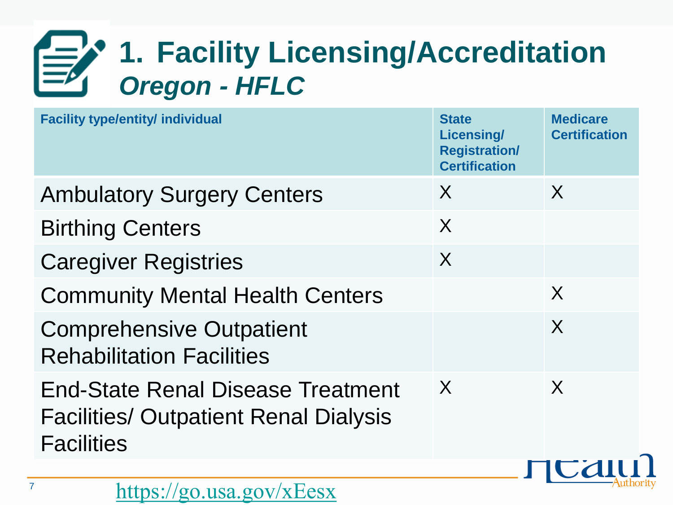## **1. Facility Licensing/Accreditation** *Oregon - HFLC*

| <b>Facility type/entity/ individual</b>                                                                       | <b>State</b><br><b>Licensing/</b><br><b>Registration/</b><br><b>Certification</b> | <b>Medicare</b><br><b>Certification</b> |
|---------------------------------------------------------------------------------------------------------------|-----------------------------------------------------------------------------------|-----------------------------------------|
| <b>Ambulatory Surgery Centers</b>                                                                             | X                                                                                 | $\sf X$                                 |
| <b>Birthing Centers</b>                                                                                       | X                                                                                 |                                         |
| <b>Caregiver Registries</b>                                                                                   | X                                                                                 |                                         |
| <b>Community Mental Health Centers</b>                                                                        |                                                                                   | X                                       |
| <b>Comprehensive Outpatient</b><br><b>Rehabilitation Facilities</b>                                           |                                                                                   | $\sf X$                                 |
| <b>End-State Renal Disease Treatment</b><br><b>Facilities/ Outpatient Renal Dialysis</b><br><b>Facilities</b> | $\boldsymbol{X}$                                                                  | $\sf X$                                 |
|                                                                                                               |                                                                                   |                                         |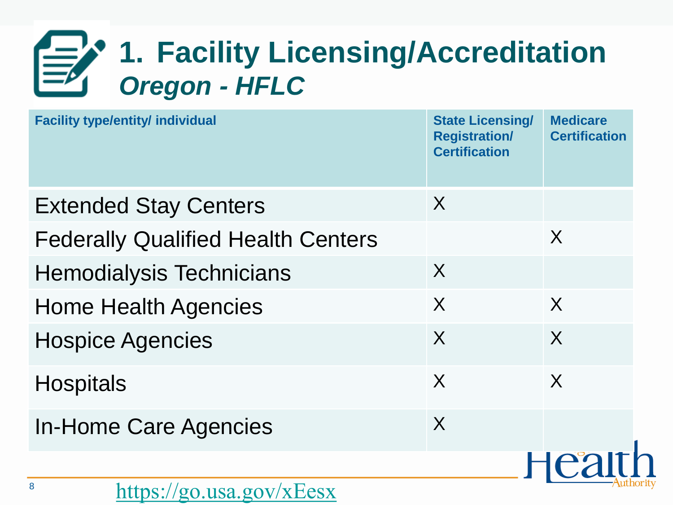## **1. Facility Licensing/Accreditation** *Oregon - HFLC*

| <b>Facility type/entity/ individual</b>   | <b>State Licensing/</b><br><b>Registration/</b><br><b>Certification</b> | <b>Medicare</b><br><b>Certification</b> |
|-------------------------------------------|-------------------------------------------------------------------------|-----------------------------------------|
| <b>Extended Stay Centers</b>              | X                                                                       |                                         |
| <b>Federally Qualified Health Centers</b> |                                                                         | X                                       |
| <b>Hemodialysis Technicians</b>           | $\sf X$                                                                 |                                         |
| <b>Home Health Agencies</b>               | X                                                                       | $\sf X$                                 |
| <b>Hospice Agencies</b>                   | X                                                                       | $\sf X$                                 |
| <b>Hospitals</b>                          | X                                                                       | $\sf X$                                 |
| <b>In-Home Care Agencies</b>              | X                                                                       |                                         |
|                                           |                                                                         |                                         |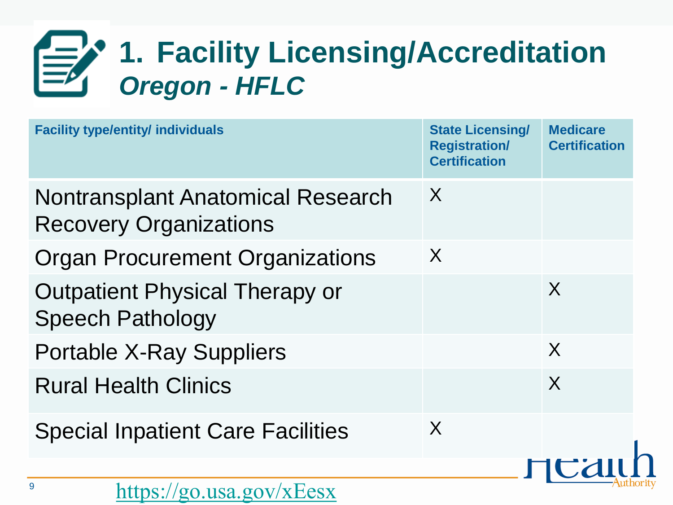## **1. Facility Licensing/Accreditation** *Oregon - HFLC*

| <b>Facility type/entity/ individuals</b>                                  | <b>State Licensing/</b><br><b>Registration/</b><br><b>Certification</b> | <b>Medicare</b><br><b>Certification</b> |
|---------------------------------------------------------------------------|-------------------------------------------------------------------------|-----------------------------------------|
| <b>Nontransplant Anatomical Research</b><br><b>Recovery Organizations</b> | X                                                                       |                                         |
| <b>Organ Procurement Organizations</b>                                    | X                                                                       |                                         |
| <b>Outpatient Physical Therapy or</b><br><b>Speech Pathology</b>          |                                                                         | X                                       |
| <b>Portable X-Ray Suppliers</b>                                           |                                                                         | X                                       |
| <b>Rural Health Clinics</b>                                               |                                                                         | X                                       |
| <b>Special Inpatient Care Facilities</b>                                  | X                                                                       |                                         |
|                                                                           |                                                                         |                                         |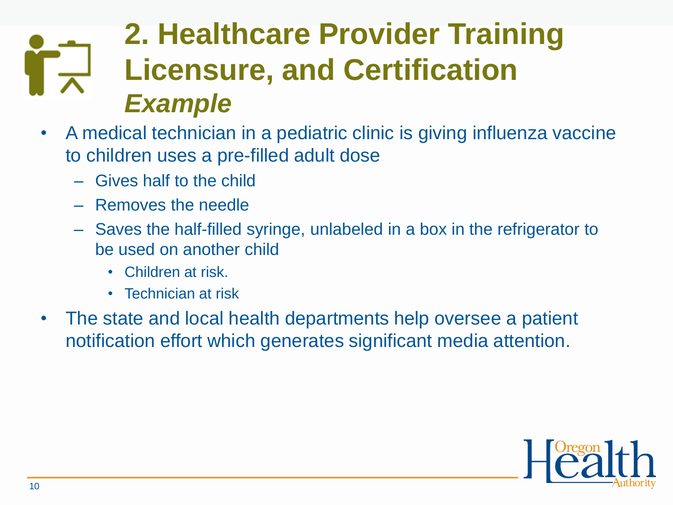## **2. Healthcare Provider Training Licensure, and Certification**  *Example*

- A medical technician in a pediatric clinic is giving influenza vaccine to children uses a pre-filled adult dose
	- Gives half to the child
	- Removes the needle
	- Saves the half-filled syringe, unlabeled in a box in the refrigerator to be used on another child
		- Children at risk.
		- Technician at risk
- The state and local health departments help oversee a patient notification effort which generates significant media attention.

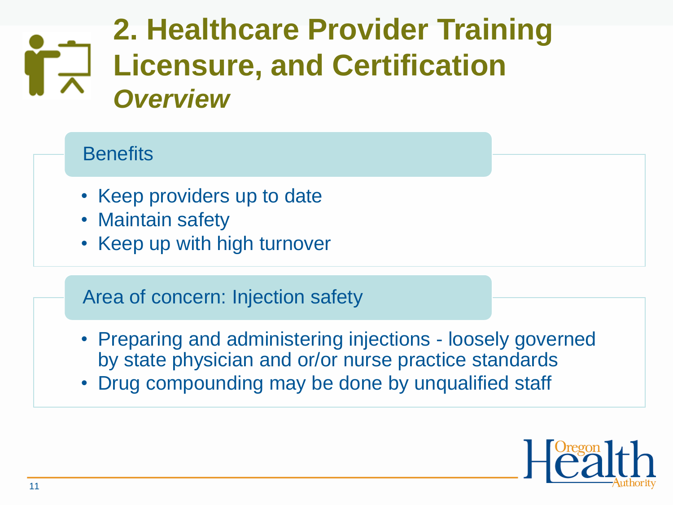## **2. Healthcare Provider Training Licensure, and Certification**  *Overview*

### **Benefits**

- Keep providers up to date
- Maintain safety
- Keep up with high turnover

### Area of concern: Injection safety

- Preparing and administering injections loosely governed by state physician and or/or nurse practice standards
- Drug compounding may be done by unqualified staff

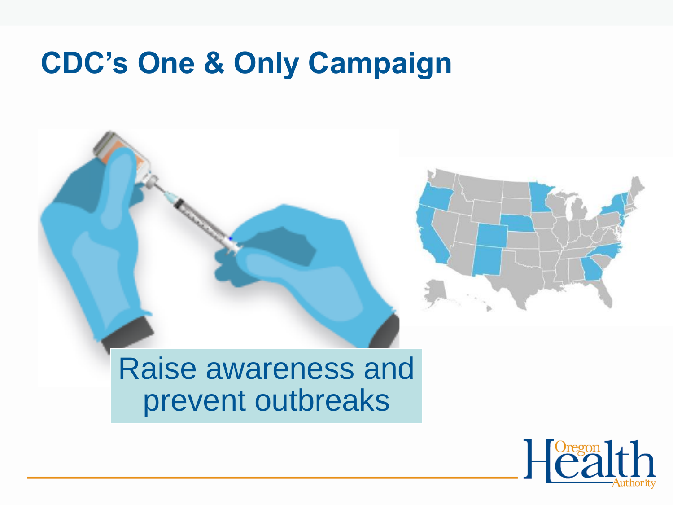## **CDC's One & Only Campaign**



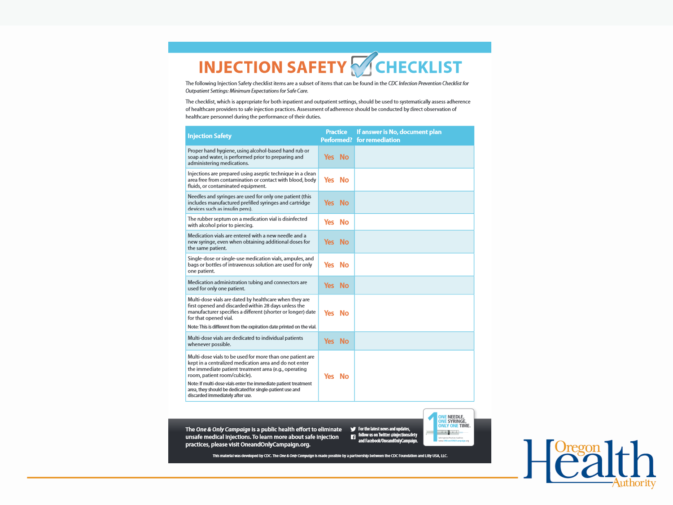## **INJECTION SAFETY CHECKLIST**

The following Injection Safety checklist items are a subset of items that can be found in the CDC Infection Prevention Checklist for Outpatient Settings: Minimum Expectations for Safe Care.

The checklist, which is appropriate for both inpatient and outpatient settings, should be used to systematically assess adherence of healthcare providers to safe injection practices. Assessment of adherence should be conducted by direct observation of healthcare personnel during the performance of their duties.

| <b>Injection Safety</b>                                                                                                                                                                                                                                                         | <b>Practice</b> | If answer is No, document plan<br><b>Performed?</b> for remediation |
|---------------------------------------------------------------------------------------------------------------------------------------------------------------------------------------------------------------------------------------------------------------------------------|-----------------|---------------------------------------------------------------------|
| Proper hand hygiene, using alcohol-based hand rub or<br>soap and water, is performed prior to preparing and<br>administering medications.                                                                                                                                       | Yes No          |                                                                     |
| Injections are prepared using aseptic technique in a clean<br>area free from contamination or contact with blood, body<br>fluids, or contaminated equipment.                                                                                                                    | Yes No          |                                                                     |
| Needles and syringes are used for only one patient (this<br>includes manufactured prefilled syringes and cartridge<br>devices such as insulin pens).                                                                                                                            | Yes No          |                                                                     |
| The rubber septum on a medication vial is disinfected<br>with alcohol prior to piercing.                                                                                                                                                                                        | Yes No          |                                                                     |
| Medication vials are entered with a new needle and a<br>new syringe, even when obtaining additional doses for<br>the same patient.                                                                                                                                              | Yes No          |                                                                     |
| Single-dose or single-use medication vials, ampules, and<br>bags or bottles of intravenous solution are used for only<br>one patient.                                                                                                                                           | Yes No          |                                                                     |
| Medication administration tubing and connectors are<br>used for only one patient.                                                                                                                                                                                               | Yes No          |                                                                     |
| Multi-dose vials are dated by healthcare when they are<br>first opened and discarded within 28 days unless the<br>manufacturer specifies a different (shorter or longer) date<br>for that opened vial.<br>Note: This is different from the expiration date printed on the vial. | Yes No          |                                                                     |
| Multi-dose vials are dedicated to individual patients<br>whenever possible.                                                                                                                                                                                                     | Yes No          |                                                                     |
| Multi-dose vials to be used for more than one patient are<br>kept in a centralized medication area and do not enter<br>the immediate patient treatment area (e.g., operating<br>room, patient room/cubicle).<br>Note: If multi-dose vials enter the immediate patient treatment | Yes No          |                                                                     |
| area, they should be dedicated for single-patient use and<br>discarded immediately after use.                                                                                                                                                                                   |                 |                                                                     |

The One & Only Campaign is a public health effort to eliminate For the latest news and updates, follow us on Twitter @injectionsafety<br>and Facebook/OneandOnlyCampaign. unsafe medical injections. To learn more about safe injection practices, please visit OneandOnlyCampaign.org.

<mark>VE</mark> NEEDLE,<br>VE SYRINGE, **NLY ONE TIME.** in ang pang-

This material was developed by CDC. The One & Only Campaign is made possible by a partnership between the CDC Foundation and Lilly USA, LLC.

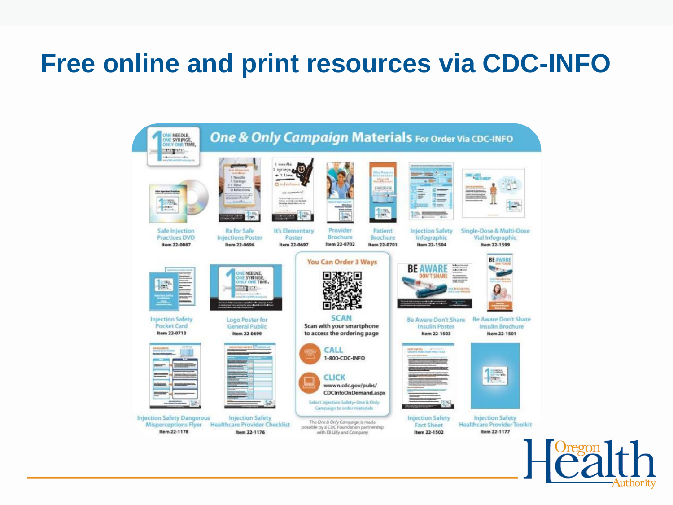### **Free online and print resources via CDC-INFO**

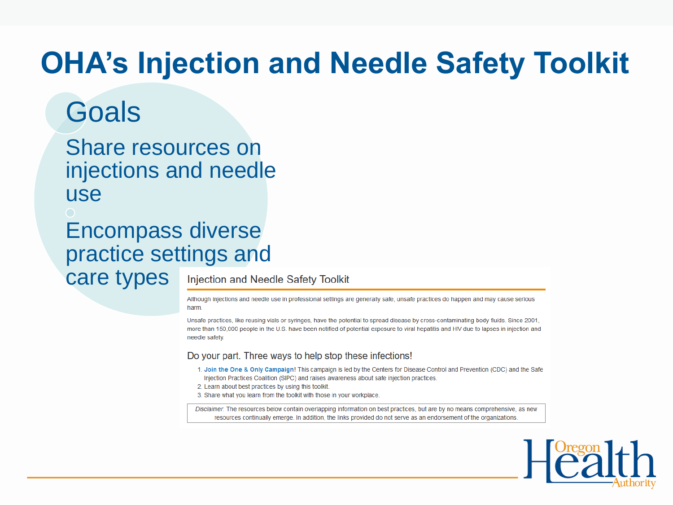## **OHA's Injection and Needle Safety Toolkit**

## **Goals**

Share resources on injections and needle use

Encompass diverse practice settings and care types

Injection and Needle Safety Toolkit

Although injections and needle use in professional settings are generally safe, unsafe practices do happen and may cause serious harm.

Unsafe practices, like reusing vials or syringes, have the potential to spread disease by cross-contaminating body fluids. Since 2001, more than 150,000 people in the U.S. have been notified of potential exposure to viral hepatitis and HIV due to lapses in injection and needle safety.

#### Do your part. Three ways to help stop these infections!

- 1. Join the One & Only Campaign! This campaign is led by the Centers for Disease Control and Prevention (CDC) and the Safe Injection Practices Coalition (SIPC) and raises awareness about safe injection practices.
- 2. Learn about best practices by using this toolkit
- 3. Share what you learn from the toolkit with those in your workplace.

Disclaimer. The resources below contain overlapping information on best practices, but are by no means comprehensive, as new resources continually emerge. In addition, the links provided do not serve as an endorsement of the organizations.

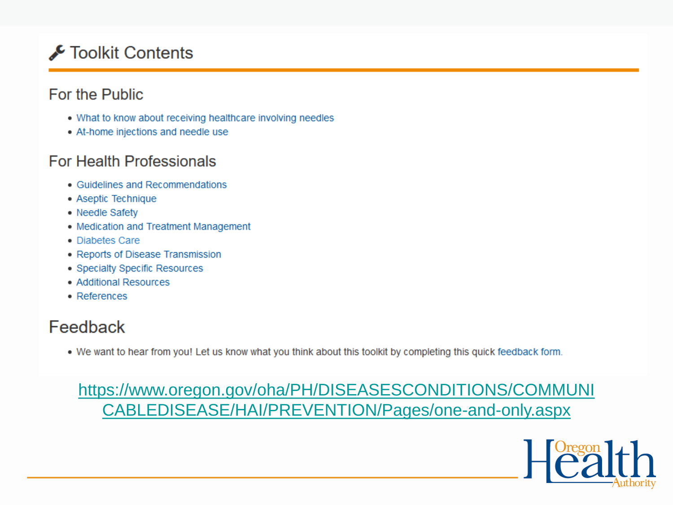### Toolkit Contents

#### For the Public

- . What to know about receiving healthcare involving needles
- At-home injections and needle use

#### **For Health Professionals**

- Guidelines and Recommendations
- Aseptic Technique
- Needle Safety
- Medication and Treatment Management
- Diabetes Care
- Reports of Disease Transmission
- Specialty Specific Resources
- Additional Resources
- References

### Feedback

. We want to hear from you! Let us know what you think about this toolkit by completing this quick feedback form.

### [https://www.oregon.gov/oha/PH/DISEASESCONDITIONS/COMMUNI](https://www.oregon.gov/oha/PH/DISEASESCONDITIONS/COMMUNICABLEDISEASE/HAI/PREVENTION/Pages/one-and-only.aspx) CABLEDISEASE/HAI/PREVENTION/Pages/one-and-only.aspx

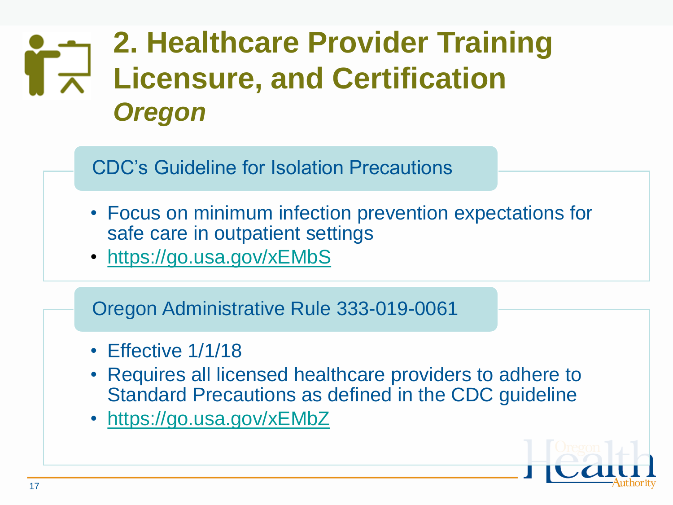## **2. Healthcare Provider Training Licensure, and Certification**  *Oregon*

CDC's Guideline for Isolation Precautions

- Focus on minimum infection prevention expectations for safe care in outpatient settings
- <https://go.usa.gov/xEMbS>

Oregon Administrative Rule 333-019-0061

- Effective 1/1/18
- Requires all licensed healthcare providers to adhere to Standard Precautions as defined in the CDC guideline
- <https://go.usa.gov/xEMbZ>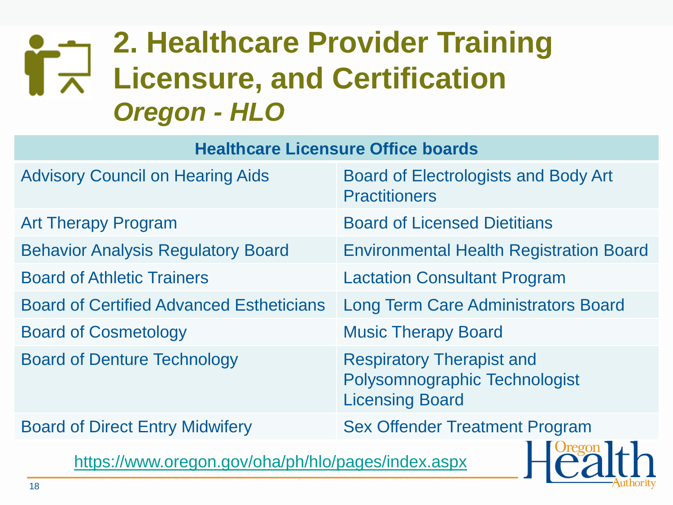## **2. Healthcare Provider Training**   $\Gamma$ <sup>-1</sup> Licensure, and Certification *Oregon - HLO*

#### **Healthcare Licensure Office boards**

| <b>Advisory Council on Hearing Aids</b>              | <b>Board of Electrologists and Body Art</b><br><b>Practitioners</b>                         |
|------------------------------------------------------|---------------------------------------------------------------------------------------------|
| <b>Art Therapy Program</b>                           | <b>Board of Licensed Dietitians</b>                                                         |
| <b>Behavior Analysis Regulatory Board</b>            | <b>Environmental Health Registration Board</b>                                              |
| <b>Board of Athletic Trainers</b>                    | <b>Lactation Consultant Program</b>                                                         |
| <b>Board of Certified Advanced Estheticians</b>      | <b>Long Term Care Administrators Board</b>                                                  |
| <b>Board of Cosmetology</b>                          | <b>Music Therapy Board</b>                                                                  |
| <b>Board of Denture Technology</b>                   | <b>Respiratory Therapist and</b><br>Polysomnographic Technologist<br><b>Licensing Board</b> |
| <b>Board of Direct Entry Midwifery</b>               | <b>Sex Offender Treatment Program</b>                                                       |
| $http://www.org9997992/6h0/hh/ho/n0999/indoy. 2999/$ |                                                                                             |

<https://www.oregon.gov/oha/ph/hlo/pages/index.aspx>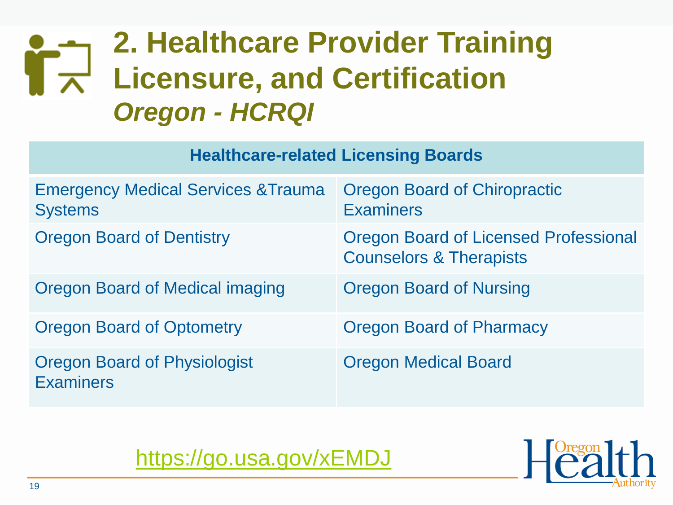### **2. Healthcare Provider Training**   $\mathbf{r}_{\mathbf{x}}$ **Licensure, and Certification**  *Oregon - HCRQI*

#### **Healthcare-related Licensing Boards**

| <b>Emergency Medical Services &amp; Trauma</b><br><b>Systems</b> | <b>Oregon Board of Chiropractic</b><br><b>Examiners</b>                            |
|------------------------------------------------------------------|------------------------------------------------------------------------------------|
| <b>Oregon Board of Dentistry</b>                                 | <b>Oregon Board of Licensed Professional</b><br><b>Counselors &amp; Therapists</b> |
| <b>Oregon Board of Medical imaging</b>                           | <b>Oregon Board of Nursing</b>                                                     |
| <b>Oregon Board of Optometry</b>                                 | <b>Oregon Board of Pharmacy</b>                                                    |
| <b>Oregon Board of Physiologist</b><br><b>Examiners</b>          | <b>Oregon Medical Board</b>                                                        |

<https://go.usa.gov/xEMDJ>

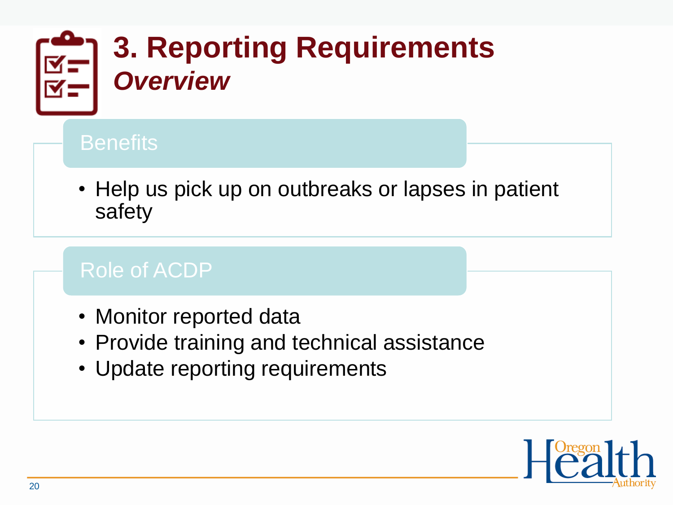

### **Benefits**

• Help us pick up on outbreaks or lapses in patient safety

### Role of ACDP

- Monitor reported data
- Provide training and technical assistance
- Update reporting requirements

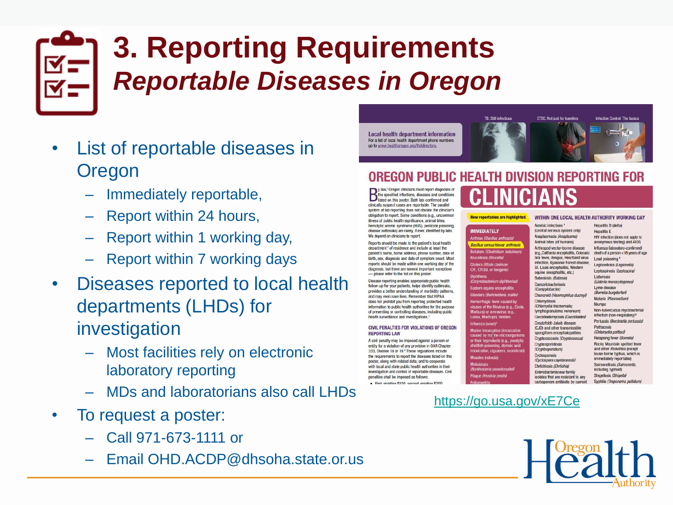## **3. Reporting Requirements** *Reportable Diseases in Oregon*

- List of reportable diseases in Oregon
	- Immediately reportable,
	- Report within 24 hours,
	- Report within 1 working day,
	- Report within 7 working days
- Diseases reported to local health departments (LHDs) for investigation
	- Most facilities rely on electronic laboratory reporting
	- MDs and laboratorians also call LHDs
- To request a poster:
	- Call 971-673-1111 or
	- Email OHD.ACDP@dhsoha.state.or.us



#### OREGON PUBLIC HEALTH DIVISION REPORTING FOR

Diphtheria

diuenza (novel

y law,' Oregon clinicians must report diagnoses of the specified infections, diseases and conditions<br>listed on this poster. Both lab-confirmed and clinically suspect cases are reportable. The parallel system of lab reporting does not obviate the clinician's obligation to report. Some conditions (e.g., uncommon illness of public health significance, animal bites, hemolytic uremic syndrome (HUS), pesticide poisoning. disease outbreaks) are rarely, if ever, identified by labs. We depend on clinicians to report.

Reports should be made to the patient's local health department<sup>2</sup> of residence and include at least the patient's name, home address, phone number, date of birth, sex, diagnosis and date of symptom onset. Most reports should be made within one working day of the diagnosis, but there are several important exceptions - please refer to the list on this poster.

Disease reporting enables appropriate public health follow-up for your patients, helps identify outbreaks, provides a better understanding of morbidity patterns, and may even save lives. Remember that HIPAA does not prohibit you from reporting protected health information to public health authorities for the purpose of preventing or controlling diseases, including public health surveillance and investigations.<sup>3</sup>

#### CIVIL PENALTIES FOR VIOLATIONS OF OREGON **REPORTING LAW**

A civil penalty may be imposed against a person or entity for a violation of any provision in OAR Chapter 333. Division 18 or 19.<sup>4</sup> These regulations include the requirements to report the diseases listed on this poster, along with related data: and to connerate with local and state public health authorities in their investigation and control of reportable diseases. Civil penalties shall be imposed as follows:

. Einet violation \$100, connect violation \$200

**New reportables are highlighted.** WITHIN ONE LOCAL HEALTH AUTHORITY WORKING DAY

Amebic infections<sup>6</sup> **IMMEDIATELY** (central nervous system only) Anaplasmosis (Anaplasma) Anthrax (Bacillus anthracis) Animal bites (of humans) **Bacillus cereus biovar anthracis** Arthropod vector-borne disease Botulism (Clostridium botulinum) tick fever, dengue, Heartland virus Lead poisoning \* **Brucellosis (Brucella)** infection. Kyasanur Forest disease. Cholera (Vibrio cholerae St. Louis encephalitis. Western O1. O139, or toxinenio equine encephalitis, etc.) Babesiosis (Babesia) **Campylobacteriosis Fastern equine encephalitis** (Campylobacter) Glanders (Burkholderia mallei Chancroid (Haemophilus ducreyi) lemorrhagic fever caused by **Chlamydiosis** .<br>viruses of the filovirus (e.g., Ebok<br>Marburg) or arenavirus (e.g., (Chlamydia trachomatis; lymphogranuloma venereum) Lassa, Machupol families Coccidioidomycosis (Coccidioides) Creutzfeldt-Jakob disease (CJD) and other transmissible spongiform encephalopathies aused by marine microorganis Cryptococcosis (Cryptococcus) or their byproducts (e.g., paralyti Cryptosporidiosis sh poisoning, domoic acid (Cryptosporidium) ntoxication ciouatera scombroji Cyclosporosis (Cyclospora cayetanensis) **Ehrlichiosis (Ehrlichia)** Enterobacteriaceae family **Planue (Versinia nestis** isolates that are resistant to any carbapenem antibiotic by current

**Hepatitis D (delta) Hepatitis E** HIV infection (does not apoly to anonymous testing) and AIDS Influenza (laboratory-confirmed) (e.g., California encephalitis, Colorado death of a person <18 years of age Legionellosis (Legionella) Leptospirosis (Leptospira) Listeriosis (Listeria monocytogenes) Lyme disease (Borrelia burgdorferi) Malaria (Plasmodium) Mumns Non-tuberculous mycobacterial infection (non-respiratory)<sup>9</sup> Pertussis (Bordetella pertussis) Psittacosis (Chlamydia psittaci) Relapsing fever (Borrelia) **Rocky Mountain spotted fever** and other Rickettsia (except louse-borne typhus, which is immediately reportable) Salmonellosis (Salmonella) including typhoid) Shigellosis (Shigella) Syphilis (Treponema pallidum)

#### <https://go.usa.gov/xE7Ce>

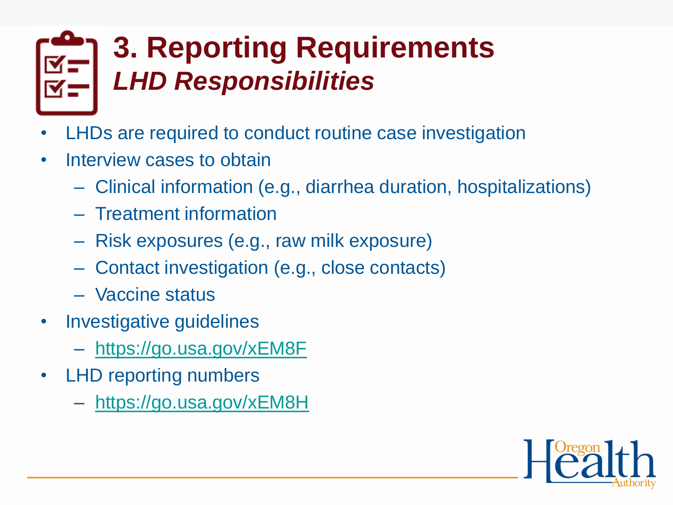## **3. Reporting Requirements** *LHD Responsibilities*

- LHDs are required to conduct routine case investigation
- Interview cases to obtain
	- Clinical information (e.g., diarrhea duration, hospitalizations)
	- Treatment information
	- Risk exposures (e.g., raw milk exposure)
	- Contact investigation (e.g., close contacts)
	- Vaccine status
- Investigative guidelines
	- <https://go.usa.gov/xEM8F>
- LHD reporting numbers
	- <https://go.usa.gov/xEM8H>

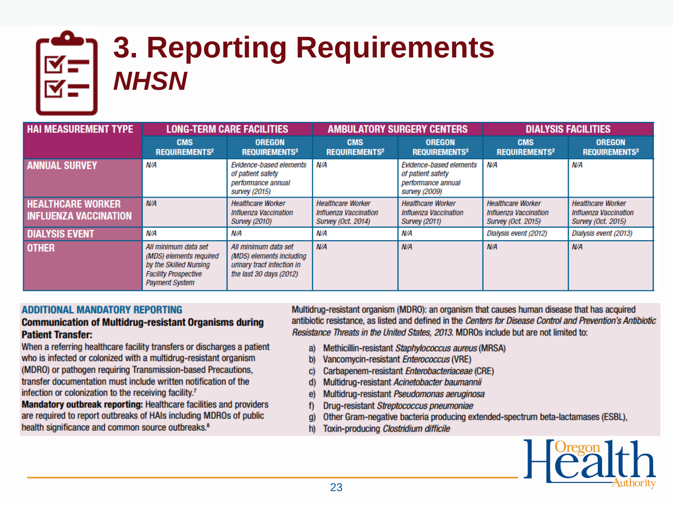

## **3. Reporting Requirements** *NHSN*

| <b>HAI MEASUREMENT TYPE</b>                              | <b>LONG-TERM CARE FACILITIES</b>                                                                                                  |                                                                                                             | <b>AMBULATORY SURGERY CENTERS</b>                                       |                                                                                     | <b>DIALYSIS FACILITIES</b>                                                     |                                                                                |
|----------------------------------------------------------|-----------------------------------------------------------------------------------------------------------------------------------|-------------------------------------------------------------------------------------------------------------|-------------------------------------------------------------------------|-------------------------------------------------------------------------------------|--------------------------------------------------------------------------------|--------------------------------------------------------------------------------|
|                                                          | <b>CMS</b><br><b>REQUIREMENTS<sup>2</sup></b>                                                                                     | <b>OREGON</b><br><b>REQUIREMENTS3</b>                                                                       | <b>CMS</b><br><b>REQUIREMENTS<sup>2</sup></b>                           | <b>OREGON</b><br><b>REQUIREMENTS3</b>                                               | <b>CMS</b><br><b>REQUIREMENTS<sup>2</sup></b>                                  | <b>OREGON</b><br><b>REQUIREMENTS3</b>                                          |
| <b>ANNUAL SURVEY</b>                                     | N/A                                                                                                                               | Evidence-based elements<br>of patient safety<br>performance annual<br>survey (2015)                         | N/A                                                                     | Evidence-based elements<br>of patient safety<br>performance annual<br>survey (2009) | N/A                                                                            | N/A                                                                            |
| <b>HEALTHCARE WORKER</b><br><b>INFLUENZA VACCINATION</b> | N/A                                                                                                                               | <b>Healthcare Worker</b><br>Influenza Vaccination<br><b>Survey (2010)</b>                                   | <b>Healthcare Worker</b><br>Influenza Vaccination<br>Survey (Oct. 2014) | <b>Healthcare Worker</b><br>Influenza Vaccination<br><b>Survey (2011)</b>           | <b>Healthcare Worker</b><br>Influenza Vaccination<br><b>Survey (Oct. 2015)</b> | <b>Healthcare Worker</b><br>Influenza Vaccination<br><b>Survey (Oct. 2015)</b> |
| <b>DIALYSIS EVENT</b>                                    | N/A                                                                                                                               | N/A                                                                                                         | N/A                                                                     | N/A                                                                                 | Dialysis event (2012)                                                          | Dialysis event (2013)                                                          |
| <b>OTHER</b>                                             | All minimum data set<br>(MDS) elements required<br>by the Skilled Nursing<br><b>Facility Prospective</b><br><b>Payment System</b> | All minimum data set<br>(MDS) elements including<br>urinary tract infection in<br>the last $30$ days (2012) | N/A                                                                     | N/A                                                                                 | N/A                                                                            | N/A                                                                            |

#### **ADDITIONAL MANDATORY REPORTING**

#### **Communication of Multidrug-resistant Organisms during Patient Transfer:**

When a referring healthcare facility transfers or discharges a patient who is infected or colonized with a multidrug-resistant organism (MDRO) or pathogen requiring Transmission-based Precautions, transfer documentation must include written notification of the infection or colonization to the receiving facility.<sup>7</sup>

Mandatory outbreak reporting: Healthcare facilities and providers are required to report outbreaks of HAIs including MDROs of public health significance and common source outbreaks.<sup>8</sup>

Multidrug-resistant organism (MDRO): an organism that causes human disease that has acquired antibiotic resistance, as listed and defined in the Centers for Disease Control and Prevention's Antibiotic Resistance Threats in the United States, 2013. MDROs include but are not limited to:

- Methicillin-resistant Staphylococcus aureus (MRSA) a)
- Vancomycin-resistant Enterococcus (VRE) b)
- Carbapenem-resistant Enterobacteriaceae (CRE) C)
- Multidrug-resistant Acinetobacter baumannii d)
- Multidrug-resistant Pseudomonas aeruginosa e)
- Drug-resistant Streptococcus pneumoniae f)
- Other Gram-negative bacteria producing extended-spectrum beta-lactamases (ESBL), g)
- Toxin-producing Clostridium difficile h)

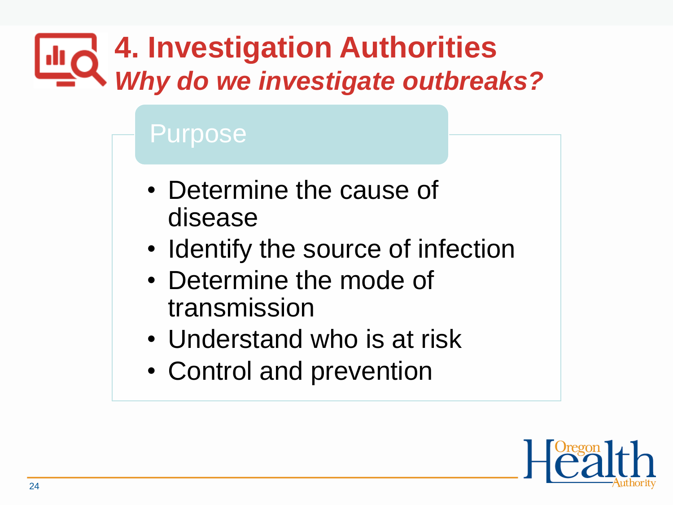### **4. Investigation Authorities I**uC *Why do we investigate outbreaks?*

### Purpose

- Determine the cause of disease
- Identify the source of infection
- Determine the mode of transmission
- Understand who is at risk
- Control and prevention

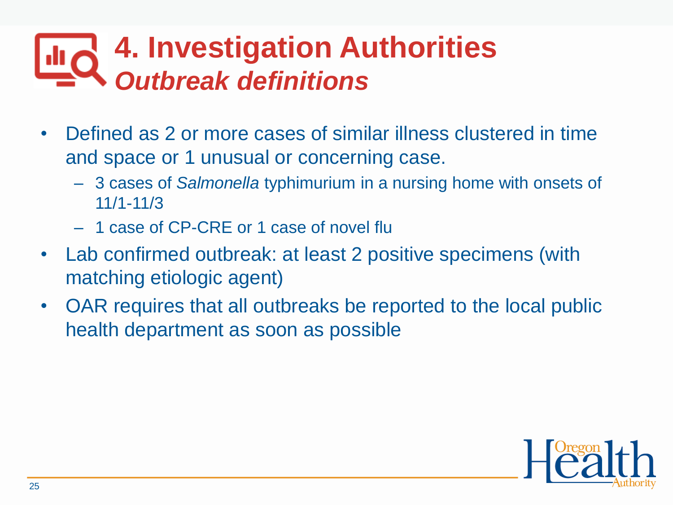## **4. Investigation Authorities** *Outbreak definitions*

- Defined as 2 or more cases of similar illness clustered in time and space or 1 unusual or concerning case.
	- 3 cases of *Salmonella* typhimurium in a nursing home with onsets of 11/1-11/3
	- 1 case of CP-CRE or 1 case of novel flu
- Lab confirmed outbreak: at least 2 positive specimens (with matching etiologic agent)
- OAR requires that all outbreaks be reported to the local public health department as soon as possible

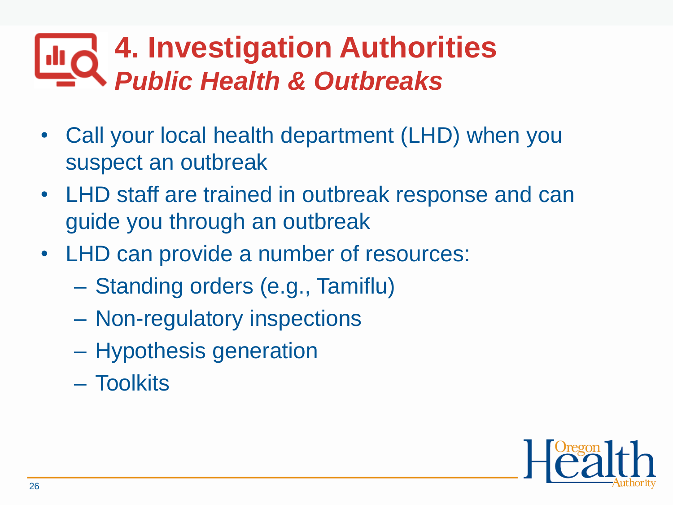### **4. Investigation Authorities**  $\mathsf{Id}_{\mathsf{C}}$ *Public Health & Outbreaks*

- Call your local health department (LHD) when you suspect an outbreak
- LHD staff are trained in outbreak response and can guide you through an outbreak
- LHD can provide a number of resources:
	- Standing orders (e.g., Tamiflu)
	- Non-regulatory inspections
	- Hypothesis generation
	- Toolkits

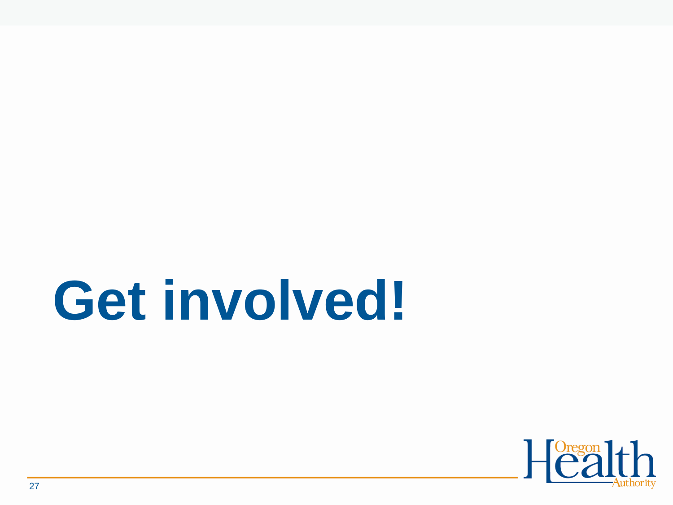# **Get involved!**

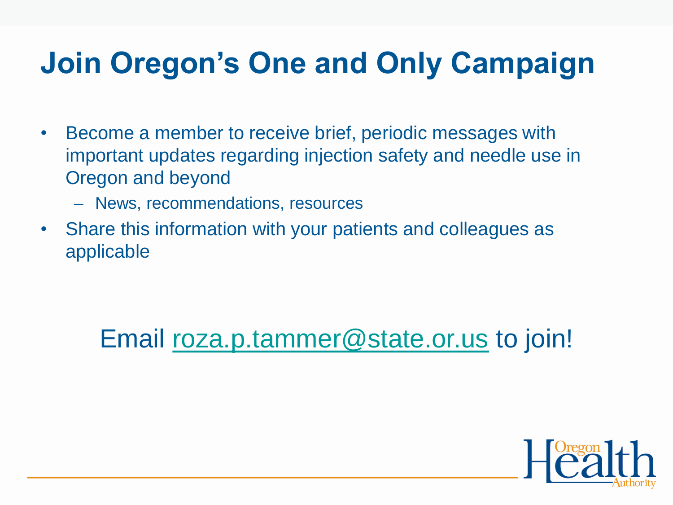## **Join Oregon's One and Only Campaign**

- Become a member to receive brief, periodic messages with important updates regarding injection safety and needle use in Oregon and beyond
	- News, recommendations, resources
- Share this information with your patients and colleagues as applicable

### Email [roza.p.tammer@state.or.us](mailto:roza.p.tammer@state.or.us) to join!

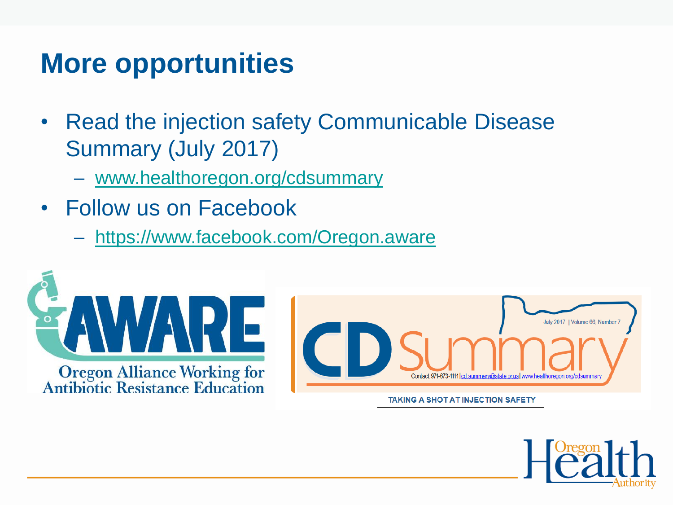## **More opportunities**

- Read the injection safety Communicable Disease Summary (July 2017)
	- [www.healthoregon.org/cdsummary](http://www.healthoregon.org/cdsummary)
- Follow us on Facebook
	- <https://www.facebook.com/Oregon.aware>



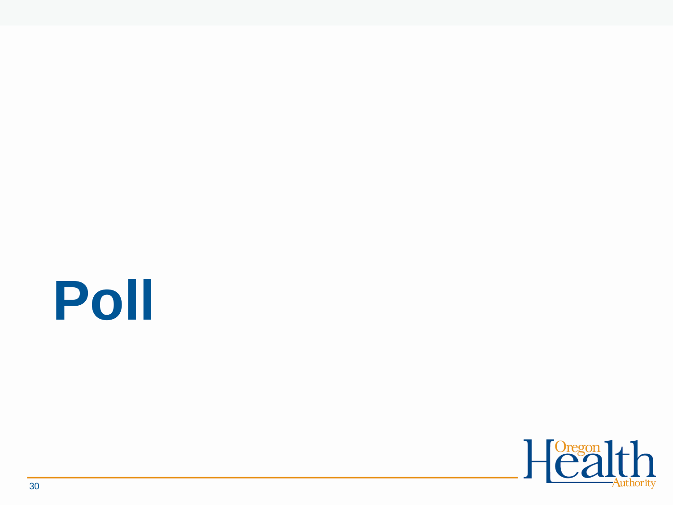# **Poll**